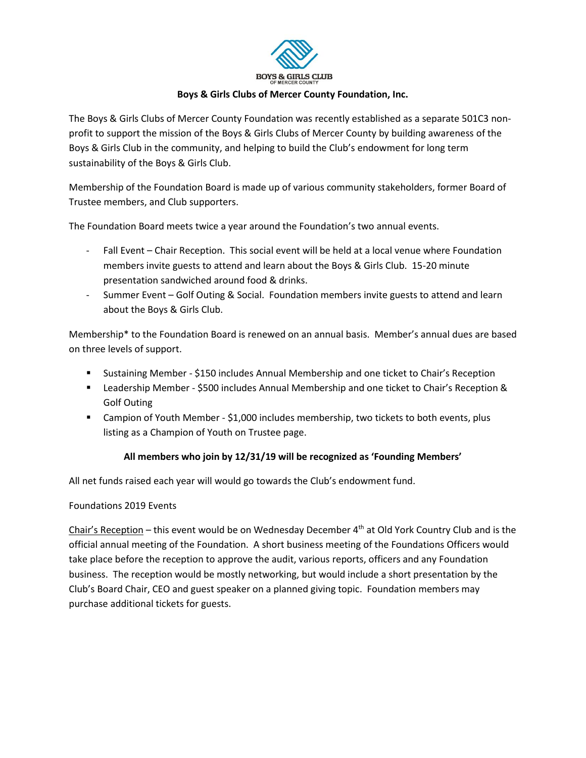

### **Boys & Girls Clubs of Mercer County Foundation, Inc.**

The Boys & Girls Clubs of Mercer County Foundation was recently established as a separate 501C3 nonprofit to support the mission of the Boys & Girls Clubs of Mercer County by building awareness of the Boys & Girls Club in the community, and helping to build the Club's endowment for long term sustainability of the Boys & Girls Club.

Membership of the Foundation Board is made up of various community stakeholders, former Board of Trustee members, and Club supporters.

The Foundation Board meets twice a year around the Foundation's two annual events.

- Fall Event Chair Reception. This social event will be held at a local venue where Foundation members invite guests to attend and learn about the Boys & Girls Club. 15-20 minute presentation sandwiched around food & drinks.
- Summer Event Golf Outing & Social. Foundation members invite guests to attend and learn about the Boys & Girls Club.

Membership\* to the Foundation Board is renewed on an annual basis. Member's annual dues are based on three levels of support.

- Sustaining Member \$150 includes Annual Membership and one ticket to Chair's Reception
- Leadership Member \$500 includes Annual Membership and one ticket to Chair's Reception & Golf Outing
- Campion of Youth Member \$1,000 includes membership, two tickets to both events, plus listing as a Champion of Youth on Trustee page.

# **All members who join by 12/31/19 will be recognized as 'Founding Members'**

All net funds raised each year will would go towards the Club's endowment fund.

#### Foundations 2019 Events

Chair's Reception – this event would be on Wednesday December  $4<sup>th</sup>$  at Old York Country Club and is the official annual meeting of the Foundation. A short business meeting of the Foundations Officers would take place before the reception to approve the audit, various reports, officers and any Foundation business. The reception would be mostly networking, but would include a short presentation by the Club's Board Chair, CEO and guest speaker on a planned giving topic. Foundation members may purchase additional tickets for guests.